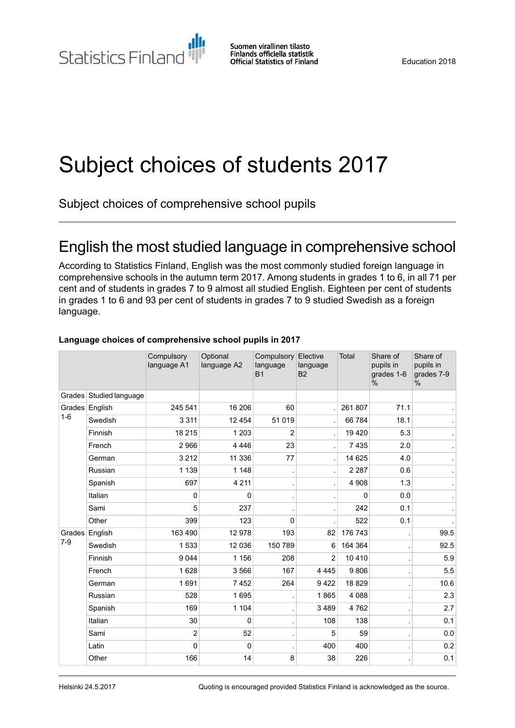Statistics Finland

Suomen virallinen tilasto Finlands officiella statistik **Official Statistics of Finland** 

# Subject choices of students 2017

Subject choices of comprehensive school pupils

### English the most studied language in comprehensive school

According to Statistics Finland, English was the most commonly studied foreign language in comprehensive schools in the autumn term 2017. Among students in grades 1 to 6, in all 71 per cent and of students in grades 7 to 9 almost all studied English. Eighteen per cent of students in grades 1 to 6 and 93 per cent of students in grades 7 to 9 studied Swedish as a foreign language.

|         |                         | Compulsory<br>language A1 | Optional<br>language A2 | Compulsory Elective<br>language<br><b>B1</b> | language<br><b>B2</b> | Total        | Share of<br>pupils in<br>grades 1-6<br>$\frac{0}{0}$ | Share of<br>pupils in<br>grades 7-9<br>% |
|---------|-------------------------|---------------------------|-------------------------|----------------------------------------------|-----------------------|--------------|------------------------------------------------------|------------------------------------------|
|         | Grades Studied language |                           |                         |                                              |                       |              |                                                      |                                          |
| $1 - 6$ | Grades English          | 245 541                   | 16 206                  | 60                                           |                       | 261 807      | 71.1                                                 |                                          |
|         | Swedish                 | 3 3 1 1                   | 12 4 5 4                | 51 019                                       |                       | 66 784       | 18.1                                                 |                                          |
|         | Finnish                 | 18 215                    | 1 2 0 3                 | $\overline{2}$                               |                       | 19 4 20      | 5.3                                                  |                                          |
|         | French                  | 2 9 6 6                   | 4 4 4 6                 | 23                                           |                       | 7435         | 2.0                                                  |                                          |
|         | German                  | 3 2 1 2                   | 11 336                  | 77                                           |                       | 14 625       | 4.0                                                  |                                          |
|         | Russian                 | 1 1 3 9                   | 1 1 4 8                 |                                              |                       | 2 2 8 7      | 0.6                                                  |                                          |
|         | Spanish                 | 697                       | 4 2 1 1                 |                                              |                       | 4 9 0 8      | 1.3                                                  |                                          |
|         | Italian                 | $\Omega$                  | 0                       |                                              |                       | $\mathbf{0}$ | 0.0                                                  |                                          |
|         | Sami                    | 5                         | 237                     |                                              |                       | 242          | 0.1                                                  |                                          |
|         | Other                   | 399                       | 123                     | 0                                            |                       | 522          | 0.1                                                  |                                          |
|         | Grades English          | 163 490                   | 12 978                  | 193                                          | 82                    | 176 743      |                                                      | 99.5                                     |
| $7-9$   | Swedish                 | 1533                      | 12 0 36                 | 150 789                                      | 6                     | 164 364      |                                                      | 92.5                                     |
|         | Finnish                 | 9 0 4 4                   | 1 1 5 6                 | 208                                          | 2                     | 10 410       |                                                      | 5.9                                      |
|         | French                  | 1628                      | 3566                    | 167                                          | 4 4 4 5               | 9806         |                                                      | 5.5                                      |
|         | German                  | 1691                      | 7452                    | 264                                          | 9422                  | 18829        |                                                      | 10.6                                     |
|         | Russian                 | 528                       | 1695                    |                                              | 1865                  | 4 0 8 8      |                                                      | 23                                       |
|         | Spanish                 | 169                       | 1 1 0 4                 |                                              | 3489                  | 4762         |                                                      | 2.7                                      |
|         | Italian                 | 30                        | 0                       |                                              | 108                   | 138          |                                                      | 0.1                                      |
|         | Sami                    | $\overline{c}$            | 52                      |                                              | 5                     | 59           |                                                      | 0.0                                      |
|         | Latin                   | $\pmb{0}$                 | 0                       |                                              | 400                   | 400          |                                                      | 0.2                                      |
|         | Other                   | 166                       | 14                      | 8                                            | 38                    | 226          |                                                      | 0.1                                      |

#### **Language choices of comprehensive school pupils in 2017**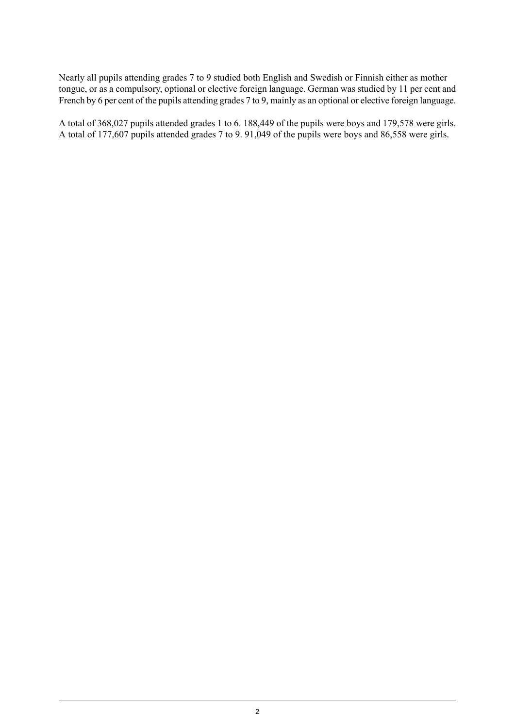Nearly all pupils attending grades 7 to 9 studied both English and Swedish or Finnish either as mother tongue, or as a compulsory, optional or elective foreign language. German was studied by 11 per cent and French by 6 per cent of the pupils attending grades 7 to 9, mainly as an optional or elective foreign language.

A total of 368,027 pupils attended grades 1 to 6. 188,449 of the pupils were boys and 179,578 were girls. A total of 177,607 pupils attended grades 7 to 9. 91,049 of the pupils were boys and 86,558 were girls.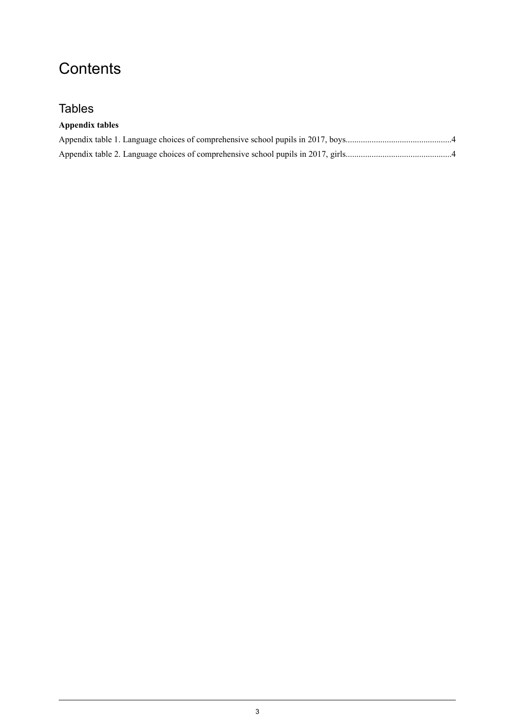### **Contents**

### **Tables**

#### **Appendix tables**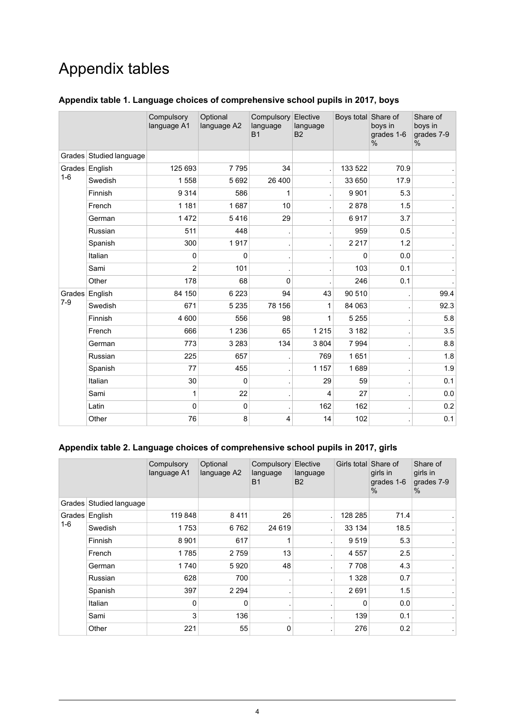## Appendix tables

|         |                         | Compulsory<br>language A1 | Optional<br>language A2 | Compulsory<br>language<br><b>B1</b> | Elective<br>language<br><b>B2</b> | Boys total Share of | boys in<br>grades 1-6<br>% | Share of<br>boys in<br>grades 7-9<br>% |
|---------|-------------------------|---------------------------|-------------------------|-------------------------------------|-----------------------------------|---------------------|----------------------------|----------------------------------------|
|         | Grades Studied language |                           |                         |                                     |                                   |                     |                            |                                        |
| $1 - 6$ | Grades English          | 125 693                   | 7795                    | 34                                  |                                   | 133 522             | 70.9                       |                                        |
|         | Swedish                 | 1558                      | 5692                    | 26 400                              |                                   | 33 650              | 17.9                       |                                        |
|         | Finnish                 | 9314                      | 586                     | 1                                   |                                   | 9 9 0 1             | 5.3                        |                                        |
|         | French                  | 1 1 8 1                   | 1687                    | 10                                  |                                   | 2878                | 1.5                        |                                        |
|         | German                  | 1472                      | 5416                    | 29                                  |                                   | 6917                | 3.7                        |                                        |
|         | Russian                 | 511                       | 448                     |                                     |                                   | 959                 | 0.5                        |                                        |
|         | Spanish                 | 300                       | 1917                    |                                     |                                   | 2 2 1 7             | 1.2                        |                                        |
|         | Italian                 | 0                         | 0                       |                                     |                                   | 0                   | 0.0                        |                                        |
|         | Sami                    | 2                         | 101                     |                                     |                                   | 103                 | 0.1                        |                                        |
|         | Other                   | 178                       | 68                      | 0                                   |                                   | 246                 | 0.1                        |                                        |
| Grades  | English                 | 84 150                    | 6 2 2 3                 | 94                                  | 43                                | 90 510              |                            | 99.4                                   |
| $7 - 9$ | Swedish                 | 671                       | 5 2 3 5                 | 78 156                              | 1                                 | 84 063              |                            | 92.3                                   |
|         | Finnish                 | 4 600                     | 556                     | 98                                  | 1                                 | 5 2 5 5             |                            | 5.8                                    |
|         | French                  | 666                       | 1 2 3 6                 | 65                                  | 1215                              | 3 1 8 2             |                            | 3.5                                    |
|         | German                  | 773                       | 3 2 8 3                 | 134                                 | 3804                              | 7 9 9 4             |                            | 8.8                                    |
|         | Russian                 | 225                       | 657                     |                                     | 769                               | 1651                |                            | 1.8                                    |
|         | Spanish                 | 77                        | 455                     |                                     | 1 1 5 7                           | 1689                |                            | 1.9                                    |
|         | Italian                 | 30                        | 0                       |                                     | 29                                | 59                  |                            | 0.1                                    |
|         | Sami                    | 1                         | 22                      |                                     | $\overline{4}$                    | 27                  |                            | 0.0                                    |
|         | Latin                   | $\mathbf 0$               | 0                       |                                     | 162                               | 162                 |                            | 0.2                                    |
|         | Other                   | 76                        | 8                       | 4                                   | 14                                | 102                 |                            | 0.1                                    |

#### <span id="page-3-0"></span>**Appendix table 1. Language choices of comprehensive school pupils in 2017, boys**

#### <span id="page-3-1"></span>**Appendix table 2. Language choices of comprehensive school pupils in 2017, girls**

|     |                         | Compulsory<br>language A1 | Optional<br>language A2 | <b>Compulsory</b><br>language<br><b>B1</b> | Elective<br>language<br><b>B2</b> | Girls total Share of | girls in<br>grades 1-6<br>$\%$ | Share of<br>girls in<br>grades 7-9<br>$\%$ |
|-----|-------------------------|---------------------------|-------------------------|--------------------------------------------|-----------------------------------|----------------------|--------------------------------|--------------------------------------------|
|     | Grades Studied language |                           |                         |                                            |                                   |                      |                                |                                            |
| 1-6 | Grades English          | 119 848                   | 8411                    | 26                                         |                                   | 128 285              | 71.4                           |                                            |
|     | Swedish                 | 1753                      | 6762                    | 24 6 19                                    |                                   | 33 134               | 18.5                           |                                            |
|     | Finnish                 | 8 9 0 1                   | 617                     |                                            |                                   | 9519                 | 5.3                            | $\bullet$                                  |
|     | French                  | 1785                      | 2759                    | 13                                         |                                   | 4 5 5 7              | 2.5                            |                                            |
|     | German                  | 1740                      | 5920                    | 48                                         |                                   | 7708                 | 4.3                            |                                            |
|     | Russian                 | 628                       | 700                     |                                            |                                   | 1 3 2 8              | 0.7                            | $\bullet$                                  |
|     | Spanish                 | 397                       | 2 2 9 4                 |                                            |                                   | 2691                 | 1.5                            |                                            |
|     | Italian                 | 0                         | $\mathbf{0}$            |                                            |                                   | 0                    | 0.0                            |                                            |
|     | Sami                    | 3                         | 136                     |                                            |                                   | 139                  | 0.1                            | $\bullet$                                  |
|     | Other                   | 221                       | 55                      | 0                                          |                                   | 276                  | 0.2                            |                                            |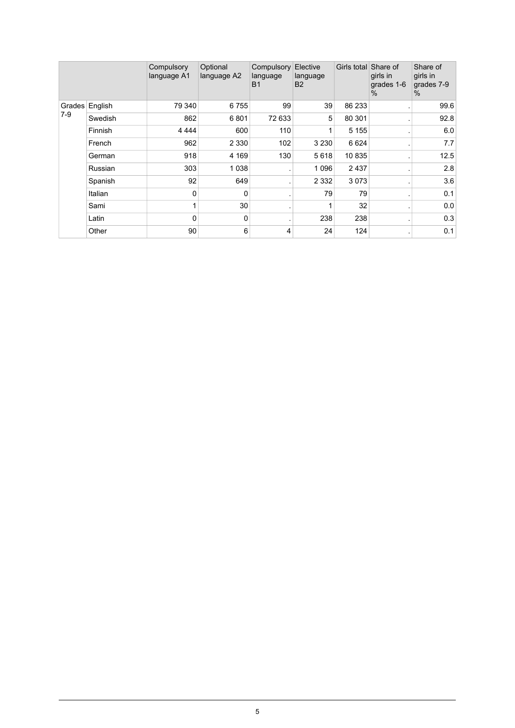|       |                | Compulsory<br>language A1 | Optional<br>language A2 | Compulsory<br>language<br><b>B1</b> | Elective<br>language<br><b>B2</b> | Girls total | Share of<br>girls in<br>grades 1-6<br>% | Share of<br>girls in<br>grades 7-9<br>% |
|-------|----------------|---------------------------|-------------------------|-------------------------------------|-----------------------------------|-------------|-----------------------------------------|-----------------------------------------|
|       | Grades English | 79 340                    | 6755                    | 99                                  | 39                                | 86 233      |                                         | 99.6                                    |
| $7-9$ | Swedish        | 862                       | 6801                    | 72 633                              | 5                                 | 80 301      |                                         | 92.8                                    |
|       | Finnish        | 4 4 4 4                   | 600                     | 110                                 |                                   | 5 1 5 5     |                                         | 6.0                                     |
|       | French         | 962                       | 2 3 3 0                 | 102                                 | 3 2 3 0                           | 6 6 24      |                                         | 7.7                                     |
|       | German         | 918                       | 4 1 6 9                 | 130                                 | 5618                              | 10835       |                                         | 12.5                                    |
|       | Russian        | 303                       | 1 0 3 8                 |                                     | 1096                              | 2437        |                                         | 2.8                                     |
|       | Spanish        | 92                        | 649                     |                                     | 2 3 3 2                           | 3073        |                                         | 3.6                                     |
|       | Italian        | 0                         | $\mathbf{0}$            |                                     | 79                                | 79          |                                         | 0.1                                     |
|       | Sami           | 1                         | 30                      |                                     |                                   | 32          |                                         | 0.0                                     |
|       | Latin          | 0                         | 0                       |                                     | 238                               | 238         |                                         | 0.3                                     |
|       | Other          | 90                        | 6                       | 4                                   | 24                                | 124         |                                         | 0.1                                     |